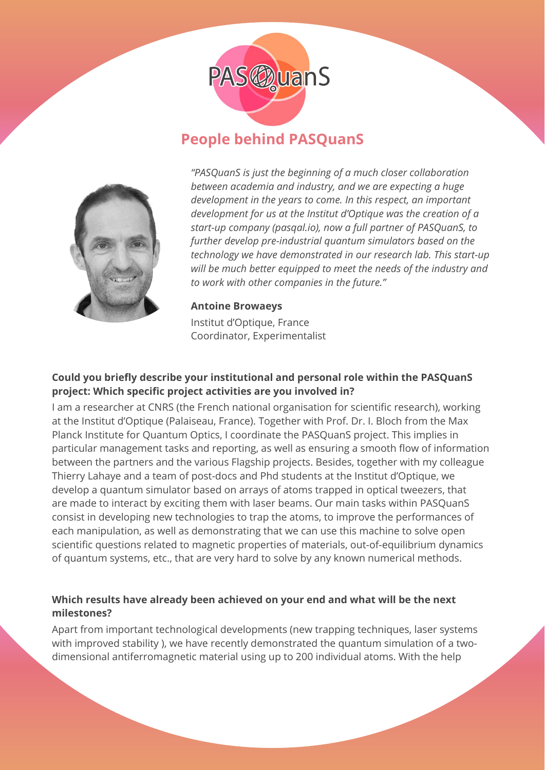

# **People behind PASQuanS**



*"PASQuanS is just the beginning of a much closer collaboration between academia and industry, and we are expecting a huge development in the years to come. In this respect, an important development for us at the Institut d'Optique was the creation of a start-up company (pasqal.io), now a full partner of PASQuanS, to further develop pre-industrial quantum simulators based on the technology we have demonstrated in our research lab. This start-up will be much better equipped to meet the needs of the industry and to work with other companies in the future."*

#### **Antoine Browaeys**

Institut d'Optique, France Coordinator, Experimentalist

## **Could you briefly describe your institutional and personal role within the PASQuanS project: Which specific project activities are you involved in?**

I am a researcher at CNRS (the French national organisation for scientific research), working at the Institut d'Optique (Palaiseau, France). Together with Prof. Dr. I. Bloch from the Max Planck Institute for Quantum Optics, I coordinate the PASQuanS project. This implies in particular management tasks and reporting, as well as ensuring a smooth flow of information between the partners and the various Flagship projects. Besides, together with my colleague Thierry Lahaye and a team of post-docs and Phd students at the Institut d'Optique, we develop a quantum simulator based on arrays of atoms trapped in optical tweezers, that are made to interact by exciting them with laser beams. Our main tasks within PASQuanS consist in developing new technologies to trap the atoms, to improve the performances of each manipulation, as well as demonstrating that we can use this machine to solve open scientific questions related to magnetic properties of materials, out-of-equilibrium dynamics of quantum systems, etc., that are very hard to solve by any known numerical methods.

# **Which results have already been achieved on your end and what will be the next milestones?**

Apart from important technological developments (new trapping techniques, laser systems with improved stability ), we have recently demonstrated the quantum simulation of a twodimensional antiferromagnetic material using up to 200 individual atoms. With the help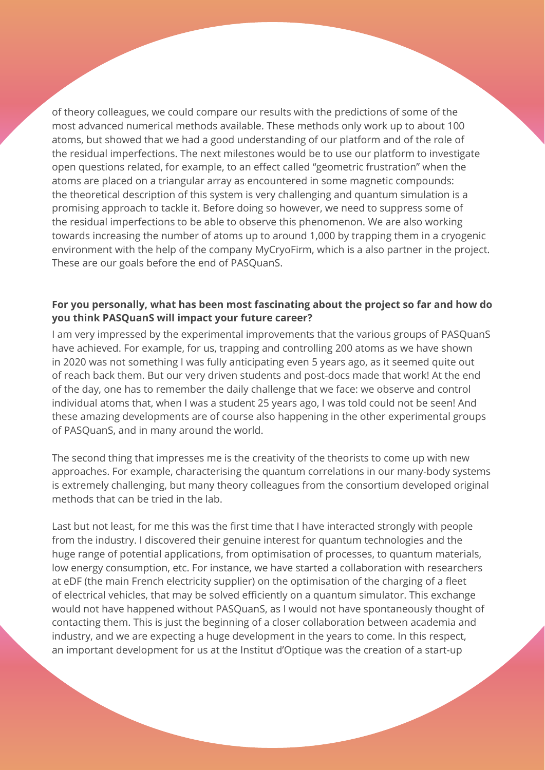of theory colleagues, we could compare our results with the predictions of some of the most advanced numerical methods available. These methods only work up to about 100 atoms, but showed that we had a good understanding of our platform and of the role of the residual imperfections. The next milestones would be to use our platform to investigate open questions related, for example, to an effect called "geometric frustration" when the atoms are placed on a triangular array as encountered in some magnetic compounds: the theoretical description of this system is very challenging and quantum simulation is a promising approach to tackle it. Before doing so however, we need to suppress some of the residual imperfections to be able to observe this phenomenon. We are also working towards increasing the number of atoms up to around 1,000 by trapping them in a cryogenic environment with the help of the company MyCryoFirm, which is a also partner in the project. These are our goals before the end of PASQuanS.

#### **For you personally, what has been most fascinating about the project so far and how do you think PASQuanS will impact your future career?**

I am very impressed by the experimental improvements that the various groups of PASQuanS have achieved. For example, for us, trapping and controlling 200 atoms as we have shown in 2020 was not something I was fully anticipating even 5 years ago, as it seemed quite out of reach back them. But our very driven students and post-docs made that work! At the end of the day, one has to remember the daily challenge that we face: we observe and control individual atoms that, when I was a student 25 years ago, I was told could not be seen! And these amazing developments are of course also happening in the other experimental groups of PASQuanS, and in many around the world.

The second thing that impresses me is the creativity of the theorists to come up with new approaches. For example, characterising the quantum correlations in our many-body systems is extremely challenging, but many theory colleagues from the consortium developed original methods that can be tried in the lab.

Last but not least, for me this was the first time that I have interacted strongly with people from the industry. I discovered their genuine interest for quantum technologies and the huge range of potential applications, from optimisation of processes, to quantum materials, low energy consumption, etc. For instance, we have started a collaboration with researchers at eDF (the main French electricity supplier) on the optimisation of the charging of a fleet of electrical vehicles, that may be solved efficiently on a quantum simulator. This exchange would not have happened without PASQuanS, as I would not have spontaneously thought of contacting them. This is just the beginning of a closer collaboration between academia and industry, and we are expecting a huge development in the years to come. In this respect, an important development for us at the Institut d'Optique was the creation of a start-up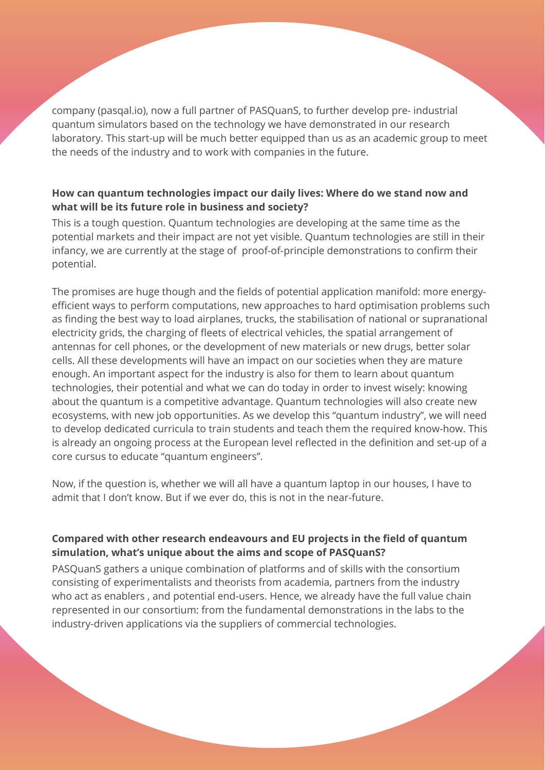company (pasqal.io), now a full partner of PASQuanS, to further develop pre- industrial quantum simulators based on the technology we have demonstrated in our research laboratory. This start-up will be much better equipped than us as an academic group to meet the needs of the industry and to work with companies in the future.

## **How can quantum technologies impact our daily lives: Where do we stand now and what will be its future role in business and society?**

This is a tough question. Quantum technologies are developing at the same time as the potential markets and their impact are not yet visible. Quantum technologies are still in their infancy, we are currently at the stage of proof-of-principle demonstrations to confirm their potential.

The promises are huge though and the fields of potential application manifold: more energyefficient ways to perform computations, new approaches to hard optimisation problems such as finding the best way to load airplanes, trucks, the stabilisation of national or supranational electricity grids, the charging of fleets of electrical vehicles, the spatial arrangement of antennas for cell phones, or the development of new materials or new drugs, better solar cells. All these developments will have an impact on our societies when they are mature enough. An important aspect for the industry is also for them to learn about quantum technologies, their potential and what we can do today in order to invest wisely: knowing about the quantum is a competitive advantage. Quantum technologies will also create new ecosystems, with new job opportunities. As we develop this "quantum industry", we will need to develop dedicated curricula to train students and teach them the required know-how. This is already an ongoing process at the European level reflected in the definition and set-up of a core cursus to educate "quantum engineers".

Now, if the question is, whether we will all have a quantum laptop in our houses, I have to admit that I don't know. But if we ever do, this is not in the near-future.

# **Compared with other research endeavours and EU projects in the field of quantum simulation, what's unique about the aims and scope of PASQuanS?**

PASQuanS gathers a unique combination of platforms and of skills with the consortium consisting of experimentalists and theorists from academia, partners from the industry who act as enablers , and potential end-users. Hence, we already have the full value chain represented in our consortium: from the fundamental demonstrations in the labs to the industry-driven applications via the suppliers of commercial technologies.